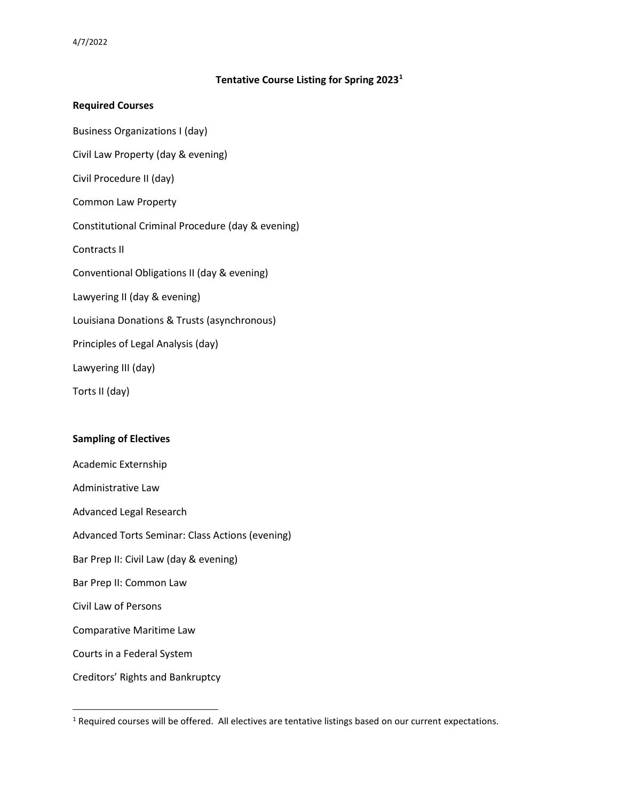## **Tentative Course Listing for Spring 2023[1](#page-0-0)**

## **Required Courses**

Business Organizations I (day)

Civil Law Property (day & evening)

Civil Procedure II (day)

Common Law Property

Constitutional Criminal Procedure (day & evening)

Contracts II

Conventional Obligations II (day & evening)

Lawyering II (day & evening)

Louisiana Donations & Trusts (asynchronous)

Principles of Legal Analysis (day)

Lawyering III (day)

Torts II (day)

## **Sampling of Electives**

Academic Externship Administrative Law Advanced Legal Research Advanced Torts Seminar: Class Actions (evening) Bar Prep II: Civil Law (day & evening) Bar Prep II: Common Law Civil Law of Persons Comparative Maritime Law Courts in a Federal System Creditors' Rights and Bankruptcy

<span id="page-0-0"></span><sup>&</sup>lt;sup>1</sup> Required courses will be offered. All electives are tentative listings based on our current expectations.